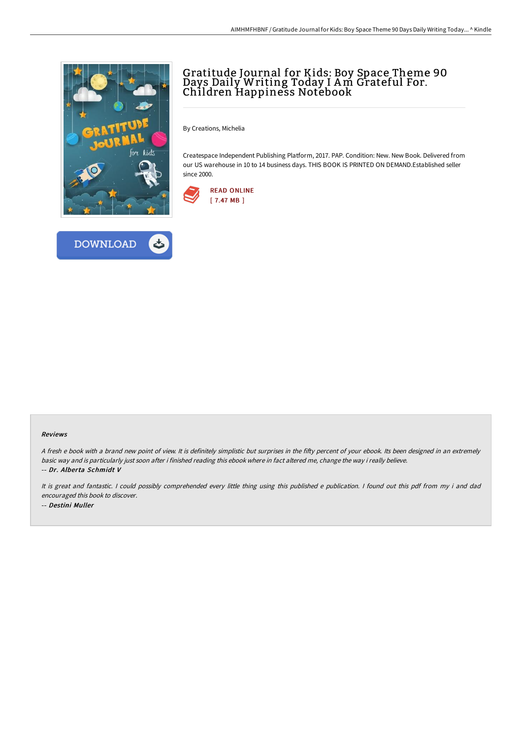

## Gratitude Journal for Kids: Boy Space Theme 90 Days Daily Writing Today I Am Grateful For. Children Happiness Notebook

By Creations, Michelia

Createspace Independent Publishing Platform, 2017. PAP. Condition: New. New Book. Delivered from our US warehouse in 10 to 14 business days. THIS BOOK IS PRINTED ON DEMAND.Established seller since 2000.





## Reviews

A fresh e book with a brand new point of view. It is definitely simplistic but surprises in the fifty percent of your ebook. Its been designed in an extremely basic way and is particularly just soon after i finished reading this ebook where in fact altered me, change the way i really believe. -- Dr. Alberta Schmidt V

It is great and fantastic. <sup>I</sup> could possibly comprehended every little thing using this published <sup>e</sup> publication. <sup>I</sup> found out this pdf from my i and dad encouraged this book to discover. -- Destini Muller